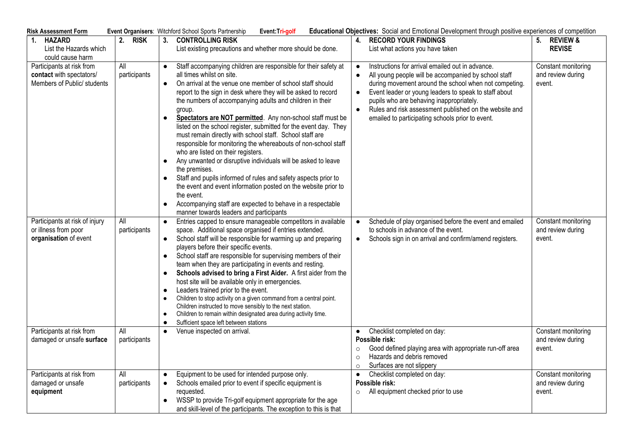| <b>Risk Assessment Form</b>                                                          |                     |                                                  | Event Organisers: Witchford School Sports Partnership<br>Event:Tri-golf                                                                                                                                                                                                                                                                                                                                                                                                                                                                                                                                                                                                                                                                                                                                                                                                                                                                             |                                            | Educational Objectives: Social and Emotional Development through positive experiences of competition                                                                                                                                                                                                                                                                                 |                                                    |
|--------------------------------------------------------------------------------------|---------------------|--------------------------------------------------|-----------------------------------------------------------------------------------------------------------------------------------------------------------------------------------------------------------------------------------------------------------------------------------------------------------------------------------------------------------------------------------------------------------------------------------------------------------------------------------------------------------------------------------------------------------------------------------------------------------------------------------------------------------------------------------------------------------------------------------------------------------------------------------------------------------------------------------------------------------------------------------------------------------------------------------------------------|--------------------------------------------|--------------------------------------------------------------------------------------------------------------------------------------------------------------------------------------------------------------------------------------------------------------------------------------------------------------------------------------------------------------------------------------|----------------------------------------------------|
| <b>HAZARD</b><br>1.<br>List the Hazards which<br>could cause harm                    | 2.<br><b>RISK</b>   |                                                  | 3. CONTROLLING RISK<br>List existing precautions and whether more should be done.                                                                                                                                                                                                                                                                                                                                                                                                                                                                                                                                                                                                                                                                                                                                                                                                                                                                   |                                            | 4. RECORD YOUR FINDINGS<br>List what actions you have taken                                                                                                                                                                                                                                                                                                                          | 5. REVIEW &<br><b>REVISE</b>                       |
| Participants at risk from<br>contact with spectators/<br>Members of Public/ students | All<br>participants | $\bullet$<br>$\bullet$<br>$\bullet$<br>$\bullet$ | Staff accompanying children are responsible for their safety at<br>all times whilst on site.<br>On arrival at the venue one member of school staff should<br>report to the sign in desk where they will be asked to record<br>the numbers of accompanying adults and children in their<br>group.<br>Spectators are NOT permitted. Any non-school staff must be<br>listed on the school register, submitted for the event day. They<br>must remain directly with school staff. School staff are<br>responsible for monitoring the whereabouts of non-school staff<br>who are listed on their registers.<br>Any unwanted or disruptive individuals will be asked to leave<br>the premises.<br>Staff and pupils informed of rules and safety aspects prior to<br>the event and event information posted on the website prior to<br>the event.<br>Accompanying staff are expected to behave in a respectable<br>manner towards leaders and participants | $\bullet$<br>$\bullet$<br>$\bullet$        | Instructions for arrival emailed out in advance.<br>All young people will be accompanied by school staff<br>during movement around the school when not competing.<br>Event leader or young leaders to speak to staff about<br>pupils who are behaving inappropriately.<br>Rules and risk assessment published on the website and<br>emailed to participating schools prior to event. | Constant monitoring<br>and review during<br>event. |
| Participants at risk of injury<br>or illness from poor<br>organisation of event      | All<br>participants | $\bullet$                                        | Entries capped to ensure manageable competitors in available<br>space. Additional space organised if entries extended.<br>School staff will be responsible for warming up and preparing<br>players before their specific events.<br>School staff are responsible for supervising members of their<br>team when they are participating in events and resting.<br>Schools advised to bring a First Aider. A first aider from the<br>host site will be available only in emergencies.<br>Leaders trained prior to the event.<br>Children to stop activity on a given command from a central point.<br>Children instructed to move sensibly to the next station.<br>Children to remain within designated area during activity time.<br>Sufficient space left between stations                                                                                                                                                                           |                                            | Schedule of play organised before the event and emailed<br>to schools in advance of the event.<br>Schools sign in on arrival and confirm/amend registers.                                                                                                                                                                                                                            | Constant monitoring<br>and review during<br>event. |
| Participants at risk from<br>damaged or unsafe surface                               | All<br>participants |                                                  | Venue inspected on arrival.                                                                                                                                                                                                                                                                                                                                                                                                                                                                                                                                                                                                                                                                                                                                                                                                                                                                                                                         | $\bullet$<br>$\circ$<br>$\circ$<br>$\circ$ | Checklist completed on day:<br>Possible risk:<br>Good defined playing area with appropriate run-off area<br>Hazards and debris removed<br>Surfaces are not slippery                                                                                                                                                                                                                  | Constant monitoring<br>and review during<br>event. |
| Participants at risk from<br>damaged or unsafe<br>equipment                          | All<br>participants |                                                  | Equipment to be used for intended purpose only.<br>Schools emailed prior to event if specific equipment is<br>requested.<br>WSSP to provide Tri-golf equipment appropriate for the age<br>and skill-level of the participants. The exception to this is that                                                                                                                                                                                                                                                                                                                                                                                                                                                                                                                                                                                                                                                                                        | $\bullet$<br>$\circ$                       | Checklist completed on day:<br>Possible risk:<br>All equipment checked prior to use                                                                                                                                                                                                                                                                                                  | Constant monitoring<br>and review during<br>event. |